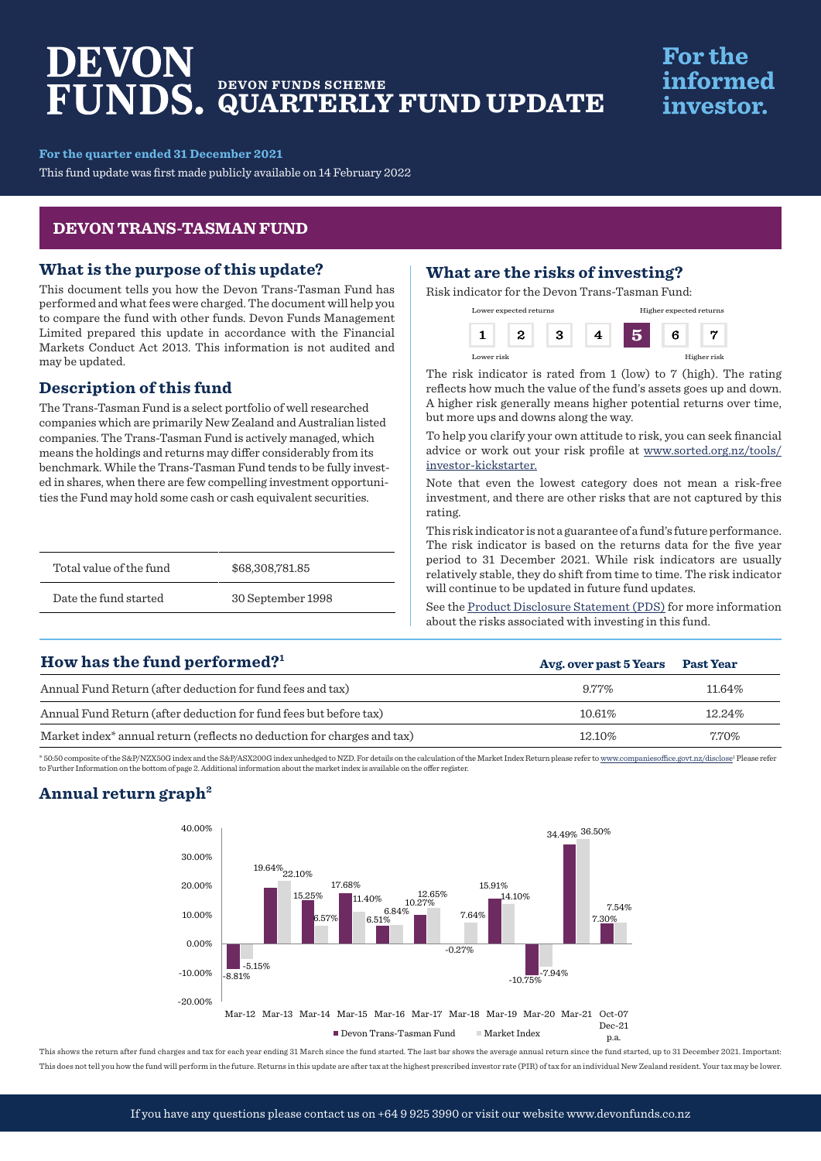# DEVON **DEVON FUNDS SCHEME QUARTERLY FUND UPDATE**

# **For the** informed investor.

**For the quarter ended 31 December 2021**

This fund update was first made publicly available on 14 February 2022

## **DEVON TRANS-TASMAN FUND**

## **What is the purpose of this update?**

This document tells you how the Devon Trans-Tasman Fund has performed and what fees were charged. The document will help you to compare the fund with other funds. Devon Funds Management Limited prepared this update in accordance with the Financial Markets Conduct Act 2013. This information is not audited and may be updated.

# **Description of this fund**

The Trans-Tasman Fund is a select portfolio of well researched companies which are primarily New Zealand and Australian listed companies. The Trans-Tasman Fund is actively managed, which means the holdings and returns may differ considerably from its benchmark. While the Trans-Tasman Fund tends to be fully invested in shares, when there are few compelling investment opportunities the Fund may hold some cash or cash equivalent securities.

| Total value of the fund | \$68,308,781.85   |
|-------------------------|-------------------|
| Date the fund started   | 30 September 1998 |

# **What are the risks of investing?**

Risk indicator for the Devon Trans-Tasman Fund:

| Lower expected returns |  |  | Higher expected returns |   |             |
|------------------------|--|--|-------------------------|---|-------------|
|                        |  |  |                         | 6 |             |
| Lower risk             |  |  |                         |   | Higher risk |

The risk indicator is rated from 1 (low) to 7 (high). The rating reflects how much the value of the fund's assets goes up and down. A higher risk generally means higher potential returns over time, but more ups and downs along the way.

To help you clarify your own attitude to risk, you can seek financial advice or work out your risk profile at [www.sorted.org.nz/tools/](http://www.sorted.org.nz/tools/investor-kickstarter) [investor-kickstarter.](http://www.sorted.org.nz/tools/investor-kickstarter)

Note that even the lowest category does not mean a risk-free investment, and there are other risks that are not captured by this rating.

This risk indicator is not a guarantee of a fund's future performance. The risk indicator is based on the returns data for the five year period to 31 December 2021. While risk indicators are usually relatively stable, they do shift from time to time. The risk indicator will continue to be updated in future fund updates.

See the [Product Disclosure Statement \(PDS\)](https://devonfunds.co.nz/sites/default/files/Devon%20Investment%20Funds%20Product%20Disclosure%20Statement.pdf) for more information about the risks associated with investing in this fund.

# **Avg. over past 5 Years Past Year** Annual Fund Return (after deduction for fund fees and tax) 8.77% 11.64% Annual Fund Return (after deduction for fund fees but before tax) 10.61% 10.61% 12.24% Market index<sup>\*</sup> annual return (reflects no deduction for charges and tax) 12.10% 12.10% 7.70% **How has the fund performed?1**

\* 50:50 composite of the S&P/NZX50G index and the S&P/ASX200G index unhedged to NZD. For details on the calculation of the Market Index Return please refer to www.c ovt.nz/disclose<sup>1</sup> Please refer to Further Information on the bottom of page 2. Additional information about the market index is available on the offer register.

# **Annual return graph2**



This shows the return after fund charges and tax for each year ending 31 March since the fund started. The last bar shows the average annual return since the fund started, up to 31 December 2021. Important: This does not tell you how the fund will perform in the future. Returns in this update are after tax at the highest prescribed investor rate (PIR) of tax for an individual New Zealand resident. Your tax may be lower.